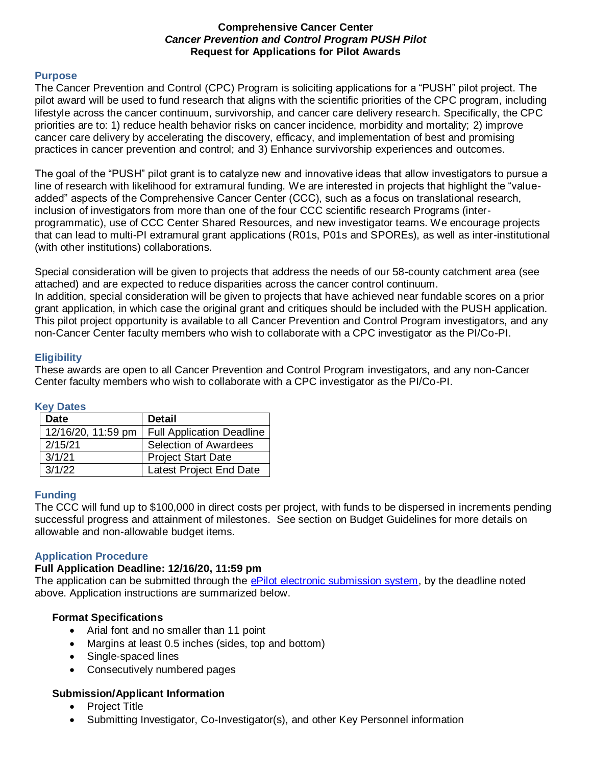### **Comprehensive Cancer Center**  *Cancer Prevention and Control Program PUSH Pilot*  **Request for Applications for Pilot Awards**

#### **Purpose**

The Cancer Prevention and Control (CPC) Program is soliciting applications for a "PUSH" pilot project. The pilot award will be used to fund research that aligns with the scientific priorities of the CPC program, including lifestyle across the cancer continuum, survivorship, and cancer care delivery research. Specifically, the CPC priorities are to: 1) reduce health behavior risks on cancer incidence, morbidity and mortality; 2) improve cancer care delivery by accelerating the discovery, efficacy, and implementation of best and promising practices in cancer prevention and control; and 3) Enhance survivorship experiences and outcomes.

The goal of the "PUSH" pilot grant is to catalyze new and innovative ideas that allow investigators to pursue a line of research with likelihood for extramural funding. We are interested in projects that highlight the "valueadded" aspects of the Comprehensive Cancer Center (CCC), such as a focus on translational research, inclusion of investigators from more than one of the four CCC scientific research Programs (interprogrammatic), use of CCC Center Shared Resources, and new investigator teams. We encourage projects that can lead to multi-PI extramural grant applications (R01s, P01s and SPOREs), as well as inter-institutional (with other institutions) collaborations.

Special consideration will be given to projects that address the needs of our 58-county catchment area (see attached) and are expected to reduce disparities across the cancer control continuum. In addition, special consideration will be given to projects that have achieved near fundable scores on a prior grant application, in which case the original grant and critiques should be included with the PUSH application. This pilot project opportunity is available to all Cancer Prevention and Control Program investigators, and any non-Cancer Center faculty members who wish to collaborate with a CPC investigator as the PI/Co-PI.

### **Eligibility**

These awards are open to all Cancer Prevention and Control Program investigators, and any non-Cancer Center faculty members who wish to collaborate with a CPC investigator as the PI/Co-PI.

#### **Key Dates**

| <b>Date</b>        | <b>Detail</b>                    |
|--------------------|----------------------------------|
| 12/16/20, 11:59 pm | <b>Full Application Deadline</b> |
| 2/15/21            | <b>Selection of Awardees</b>     |
| 3/1/21             | <b>Project Start Date</b>        |
| 3/1/22             | Latest Project End Date          |

### **Funding**

The CCC will fund up to \$100,000 in direct costs per project, with funds to be dispersed in increments pending successful progress and attainment of milestones. See section on Budget Guidelines for more details on allowable and non-allowable budget items.

### **Application Procedure**

#### **Full Application Deadline: 12/16/20, 11:59 pm**

The application can be submitted through the [ePilot electronic submission system,](https://redcap.wakehealth.edu/redcap/surveys/?s=APY4FAJPT8) by the deadline noted above. Application instructions are summarized below.

### **Format Specifications**

- Arial font and no smaller than 11 point
- Margins at least 0.5 inches (sides, top and bottom)
- Single-spaced lines
- Consecutively numbered pages

### **Submission/Applicant Information**

- Project Title
- Submitting Investigator, Co-Investigator(s), and other Key Personnel information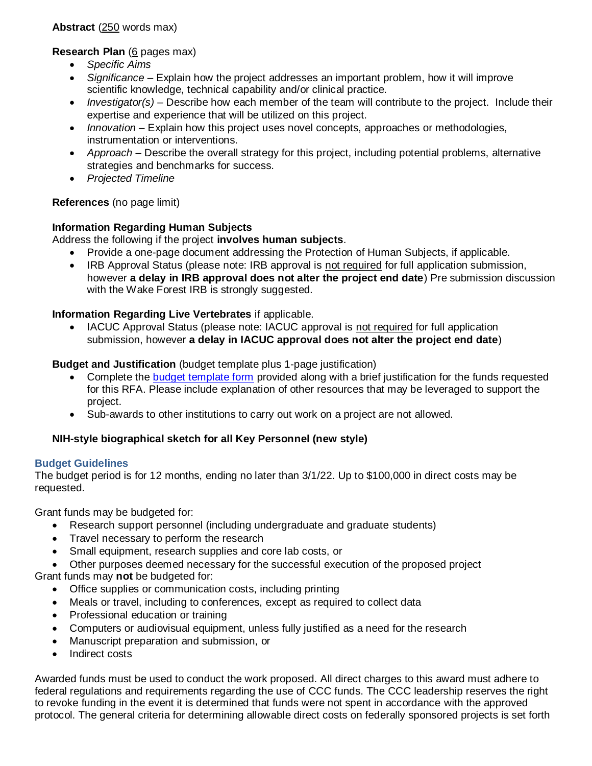**Abstract** (250 words max)

**Research Plan** (6 pages max)

- *Specific Aims*
- *Significance* Explain how the project addresses an important problem, how it will improve scientific knowledge, technical capability and/or clinical practice.
- *Investigator(s)* Describe how each member of the team will contribute to the project. Include their expertise and experience that will be utilized on this project.
- *Innovation* Explain how this project uses novel concepts, approaches or methodologies, instrumentation or interventions.
- *Approach* Describe the overall strategy for this project, including potential problems, alternative strategies and benchmarks for success.
- *Projected Timeline*

# **References** (no page limit)

# **Information Regarding Human Subjects**

Address the following if the project **involves human subjects**.

- Provide a one-page document addressing the Protection of Human Subjects, if applicable.
- IRB Approval Status (please note: IRB approval is not required for full application submission, however **a delay in IRB approval does not alter the project end date**) Pre submission discussion with the Wake Forest IRB is strongly suggested.

**Information Regarding Live Vertebrates** if applicable.

 IACUC Approval Status (please note: IACUC approval is not required for full application submission, however **a delay in IACUC approval does not alter the project end date**)

# **Budget and Justification** (budget template plus 1-page justification)

- Complete the [budget template form](https://wakehealth.sharepoint.com/:x:/r/teams/CTSIWebCollection/Shared%20Documents/CSTI-Public/CTSI%20Pilot%20Budget%20Template.xlsx) provided along with a brief justification for the funds requested for this RFA. Please include explanation of other resources that may be leveraged to support the project.
- Sub-awards to other institutions to carry out work on a project are not allowed.

# **NIH-style biographical sketch for all Key Personnel (new style)**

# **Budget Guidelines**

The budget period is for 12 months, ending no later than 3/1/22. Up to \$100,000 in direct costs may be requested.

Grant funds may be budgeted for:

- Research support personnel (including undergraduate and graduate students)
- Travel necessary to perform the research
- Small equipment, research supplies and core lab costs, or
- Other purposes deemed necessary for the successful execution of the proposed project Grant funds may **not** be budgeted for:
	- Office supplies or communication costs, including printing
	- Meals or travel, including to conferences, except as required to collect data
	- Professional education or training
	- Computers or audiovisual equipment, unless fully justified as a need for the research
	- Manuscript preparation and submission, or
	- Indirect costs

Awarded funds must be used to conduct the work proposed. All direct charges to this award must adhere to federal regulations and requirements regarding the use of CCC funds. The CCC leadership reserves the right to revoke funding in the event it is determined that funds were not spent in accordance with the approved protocol. The general criteria for determining allowable direct costs on federally sponsored projects is set forth